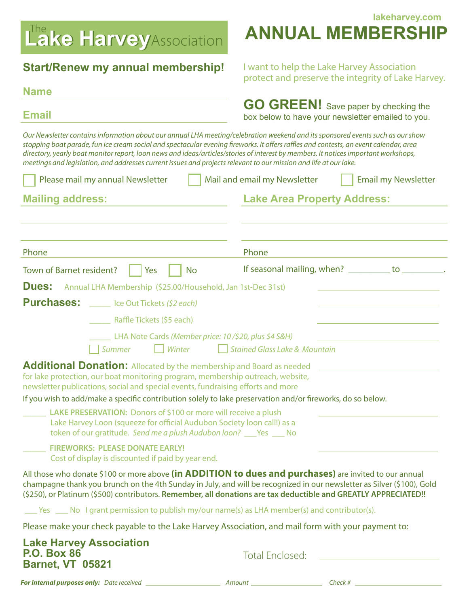# Lake Harvey Association

### **Start/Renew my annual membership!** I want to help the Lake Harvey Association

#### **Name**

**lakeharvey.com ANNUAL MEMBERSHIP**

protect and preserve the integrity of Lake Harvey.

| <b>Email</b>                                                                                                                                                                                                                                                                                                                                                                                                                                                                                                                        | <b>GO GREEN!</b> Save paper by checking the<br>box below to have your newsletter emailed to you. |  |  |  |
|-------------------------------------------------------------------------------------------------------------------------------------------------------------------------------------------------------------------------------------------------------------------------------------------------------------------------------------------------------------------------------------------------------------------------------------------------------------------------------------------------------------------------------------|--------------------------------------------------------------------------------------------------|--|--|--|
| Our Newsletter contains information about our annual LHA meeting/celebration weekend and its sponsored events such as our show<br>stopping boat parade, fun ice cream social and spectacular evening fireworks. It offers raffles and contests, an event calendar, area<br>directory, yearly boat monitor report, loon news and ideas/articles/stories of interest by members. It notices important workshops,<br>meetings and legislation, and addresses current issues and projects relevant to our mission and life at our lake. |                                                                                                  |  |  |  |
| Please mail my annual Newsletter                                                                                                                                                                                                                                                                                                                                                                                                                                                                                                    | Mail and email my Newsletter<br><b>Email my Newsletter</b>                                       |  |  |  |
| <b>Mailing address:</b>                                                                                                                                                                                                                                                                                                                                                                                                                                                                                                             | <b>Lake Area Property Address:</b>                                                               |  |  |  |
|                                                                                                                                                                                                                                                                                                                                                                                                                                                                                                                                     |                                                                                                  |  |  |  |
| Phone                                                                                                                                                                                                                                                                                                                                                                                                                                                                                                                               | Phone                                                                                            |  |  |  |
| Town of Barnet resident?<br>Yes<br><b>No</b>                                                                                                                                                                                                                                                                                                                                                                                                                                                                                        | If seasonal mailing, when? to                                                                    |  |  |  |
| Dues:<br>Annual LHA Membership (\$25.00/Household, Jan 1st-Dec 31st)                                                                                                                                                                                                                                                                                                                                                                                                                                                                |                                                                                                  |  |  |  |
| <b>Purchases:</b><br>Ice Out Tickets (\$2 each)                                                                                                                                                                                                                                                                                                                                                                                                                                                                                     |                                                                                                  |  |  |  |
| Raffle Tickets (\$5 each)                                                                                                                                                                                                                                                                                                                                                                                                                                                                                                           |                                                                                                  |  |  |  |
| LHA Note Cards (Member price: 10/\$20, plus \$4 S&H)<br>Summer<br>Winter                                                                                                                                                                                                                                                                                                                                                                                                                                                            | <b>Stained Glass Lake &amp; Mountain</b>                                                         |  |  |  |
| <b>Additional Donation:</b> Allocated by the membership and Board as needed<br>for lake protection, our boat monitoring program, membership outreach, website,<br>newsletter publications, social and special events, fundraising efforts and more                                                                                                                                                                                                                                                                                  |                                                                                                  |  |  |  |
| If you wish to add/make a specific contribution solely to lake preservation and/or fireworks, do so below.                                                                                                                                                                                                                                                                                                                                                                                                                          |                                                                                                  |  |  |  |
| <b>LAKE PRESERVATION:</b> Donors of \$100 or more will receive a plush<br>Lake Harvey Loon (squeeze for official Audubon Society loon call!) as a<br>token of our gratitude. Send me a plush Audubon loon? Nes No                                                                                                                                                                                                                                                                                                                   |                                                                                                  |  |  |  |
| <b>FIREWORKS: PLEASE DONATE EARLY!</b><br>Cost of display is discounted if paid by year end.                                                                                                                                                                                                                                                                                                                                                                                                                                        |                                                                                                  |  |  |  |
| All those who donate \$100 or more above (in ADDITION to dues and purchases) are invited to our annual<br>champagne thank you brunch on the 4th Sunday in July, and will be recognized in our newsletter as Silver (\$100), Gold<br>(\$250), or Platinum (\$500) contributors. Remember, all donations are tax deductible and GREATLY APPRECIATED!!                                                                                                                                                                                 |                                                                                                  |  |  |  |
| $\gamma$ Yes $\gamma$ No I grant permission to publish my/our name(s) as LHA member(s) and contributor(s).                                                                                                                                                                                                                                                                                                                                                                                                                          |                                                                                                  |  |  |  |
| Please make your check payable to the Lake Harvey Association, and mail form with your payment to:                                                                                                                                                                                                                                                                                                                                                                                                                                  |                                                                                                  |  |  |  |
| <b>Lake Harvey Association</b>                                                                                                                                                                                                                                                                                                                                                                                                                                                                                                      |                                                                                                  |  |  |  |

**Lake Harvey Association P.O. Box 86 Barnet, VT 05821**

Total Enclosed:

**For internal purposes only:** Date received **Amount** *Check #* **Check # Check # Check # Check # Check # Check # Check # Check # Check # Check # Check # Check # Check # Check # Check # Check #** 

|  | . .<br>× |  |
|--|----------|--|